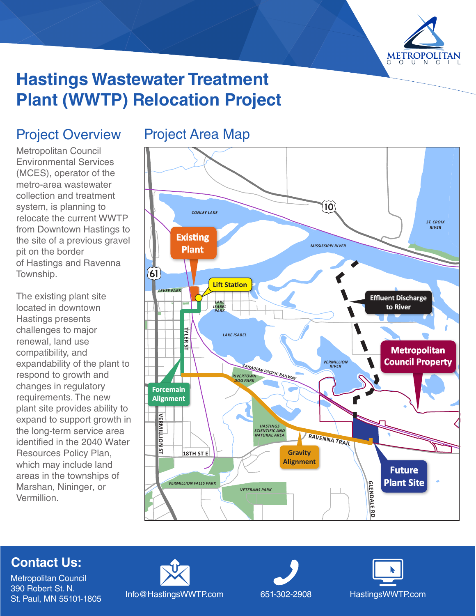

# **Hastings Wastewater Treatment Plant (WWTP) Relocation Project**

## Project Overview

Metropolitan Council Environmental Services (MCES), operator of the metro-area wastewater collection and treatment system, is planning to relocate the current WWTP from Downtown Hastings to the site of a previous gravel pit on the border of Hastings and Ravenna Township.

The existing plant site located in downtown Hastings presents challenges to major renewal, land use compatibility, and expandability of the plant to respond to growth and changes in regulatory requirements. The new plant site provides ability to expand to support growth in the long-term service area identified in the 2040 Water Resources Policy Plan, which may include land areas in the townships of Marshan, Nininger, or Vermillion.

## Project Area Map



#### **Contact Us:**

Metropolitan Council 390 Robert St. N.